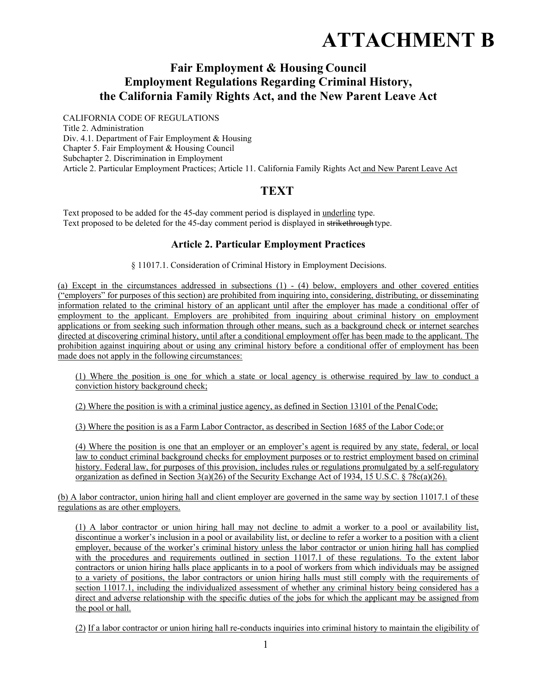# **ATTACHMENT B**

# **Fair Employment & Housing Council Employment Regulations Regarding Criminal History, the California Family Rights Act, and the New Parent Leave Act**

CALIFORNIA CODE OF REGULATIONS Title 2. Administration Div. 4.1. Department of Fair Employment & Housing Chapter 5. Fair Employment & Housing Council Subchapter 2. Discrimination in Employment Article 2. Particular Employment Practices; Article 11. California Family Rights Act and New Parent Leave Act

## **TEXT**

Text proposed to be added for the 45-day comment period is displayed in underline type. Text proposed to be deleted for the 45-day comment period is displayed in strikethrough type.

## **Article 2. Particular Employment Practices**

§ 11017.1. Consideration of Criminal History in Employment Decisions.

(a) Except in the circumstances addressed in subsections (1) - (4) below, employers and other covered entities ("employers" for purposes of this section) are prohibited from inquiring into, considering, distributing, or disseminating information related to the criminal history of an applicant until after the employer has made a conditional offer of employment to the applicant. Employers are prohibited from inquiring about criminal history on employment applications or from seeking such information through other means, such as a background check or internet searches directed at discovering criminal history, until after a conditional employment offer has been made to the applicant. The prohibition against inquiring about or using any criminal history before a conditional offer of employment has been made does not apply in the following circumstances:

(1) Where the position is one for which a state or local agency is otherwise required by law to conduct a conviction history background check;

(2) Where the position is with a criminal justice agency, as defined in Section 13101 of the Penal Code;

(3) Where the position is as a Farm Labor Contractor, as described in Section 1685 of the Labor Code; or

(4) Where the position is one that an employer or an employer's agent is required by any state, federal, or local law to conduct criminal background checks for employment purposes or to restrict employment based on criminal history. Federal law, for purposes of this provision, includes rules or regulations promulgated by a self-regulatory organization as defined in Section  $3(a)(26)$  of the Security Exchange Act of 1934, 15 U.S.C. § 78c(a)(26).

(b) A labor contractor, union hiring hall and client employer are governed in the same way by section 11017.1 of these regulations as are other employers.

(1) A labor contractor or union hiring hall may not decline to admit a worker to a pool or availability list, discontinue a worker's inclusion in a pool or availability list, or decline to refer a worker to a position with a client employer, because of the worker's criminal history unless the labor contractor or union hiring hall has complied with the procedures and requirements outlined in section 11017.1 of these regulations. To the extent labor contractors or union hiring halls place applicants in to a pool of workers from which individuals may be assigned to a variety of positions, the labor contractors or union hiring halls must still comply with the requirements of section 11017.1, including the individualized assessment of whether any criminal history being considered has a direct and adverse relationship with the specific duties of the jobs for which the applicant may be assigned from the pool or hall.

(2) If a labor contractor or union hiring hall re-conducts inquiries into criminal history to maintain the eligibility of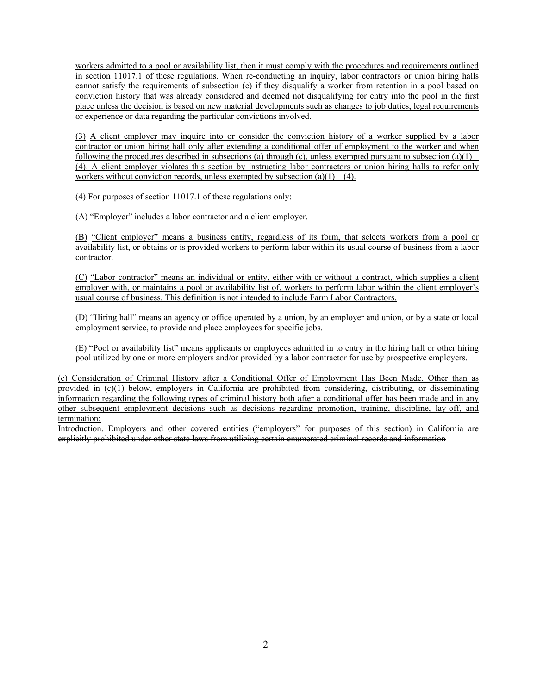workers admitted to a pool or availability list, then it must comply with the procedures and requirements outlined in section 11017.1 of these regulations. When re-conducting an inquiry, labor contractors or union hiring halls cannot satisfy the requirements of subsection (c) if they disqualify a worker from retention in a pool based on conviction history that was already considered and deemed not disqualifying for entry into the pool in the first place unless the decision is based on new material developments such as changes to job duties, legal requirements or experience or data regarding the particular convictions involved.

(3) A client employer may inquire into or consider the conviction history of a worker supplied by a labor contractor or union hiring hall only after extending a conditional offer of employment to the worker and when following the procedures described in subsections (a) through (c), unless exempted pursuant to subsection (a)(1) – (4). A client employer violates this section by instructing labor contractors or union hiring halls to refer only workers without conviction records, unless exempted by subsection  $(a)(1) - (4)$ .

(4) For purposes of section 11017.1 of these regulations only:

(A) "Employer" includes a labor contractor and a client employer.

(B) "Client employer" means a business entity, regardless of its form, that selects workers from a pool or availability list, or obtains or is provided workers to perform labor within its usual course of business from a labor contractor.

(C) "Labor contractor" means an individual or entity, either with or without a contract, which supplies a client employer with, or maintains a pool or availability list of, workers to perform labor within the client employer's usual course of business. This definition is not intended to include Farm Labor Contractors.

(D) "Hiring hall" means an agency or office operated by a union, by an employer and union, or by a state or local employment service, to provide and place employees for specific jobs.

(E) "Pool or availability list" means applicants or employees admitted in to entry in the hiring hall or other hiring pool utilized by one or more employers and/or provided by a labor contractor for use by prospective employers.

(c) Consideration of Criminal History after a Conditional Offer of Employment Has Been Made. Other than as provided in (c)(1) below, employers in California are prohibited from considering, distributing, or disseminating information regarding the following types of criminal history both after a conditional offer has been made and in any other subsequent employment decisions such as decisions regarding promotion, training, discipline, lay-off, and termination:

Introduction. Employers and other covered entities ("employers" for purposes of this section) in California are explicitly prohibited under other state laws from utilizing certain enumerated criminal records and information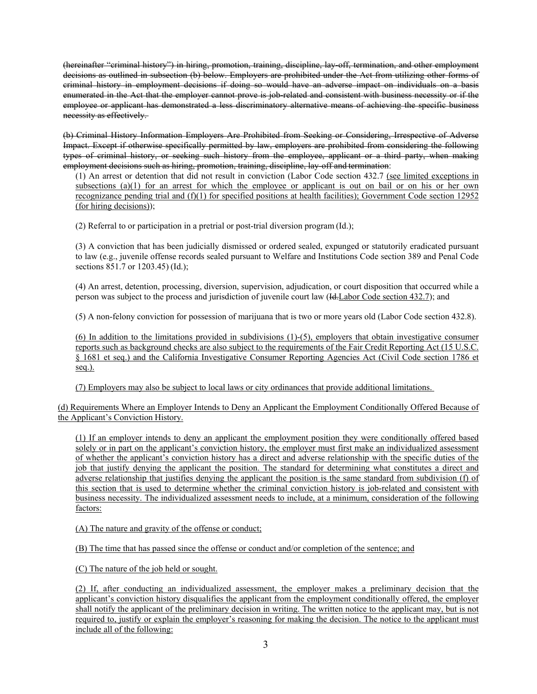(hereinafter "criminal history") in hiring, promotion, training, discipline, lay-off, termination, and other employment decisions as outlined in subsection (b) below. Employers are prohibited under the Act from utilizing other forms of criminal history in employment decisions if doing so would have an adverse impact on individuals on a basis enumerated in the Act that the employer cannot prove is job-related and consistent with business necessity or if the employee or applicant has demonstrated a less discriminatory alternative means of achieving the specific business necessity as effectively.

(b) Criminal History Information Employers Are Prohibited from Seeking or Considering, Irrespective of Adverse Impact. Except if otherwise specifically permitted by law, employers are prohibited from considering the following types of criminal history, or seeking such history from the employee, applicant or a third party, when making employment decisions such as hiring, promotion, training, discipline, lay-off and termination:

(1) An arrest or detention that did not result in conviction (Labor Code section 432.7 (see limited exceptions in subsections  $(a)(1)$  for an arrest for which the employee or applicant is out on bail or on his or her own recognizance pending trial and (f)(1) for specified positions at health facilities); Government Code section 12952 (for hiring decisions));

(2) Referral to or participation in a pretrial or post-trial diversion program (Id.);

(3) A conviction that has been judicially dismissed or ordered sealed, expunged or statutorily eradicated pursuant to law (e.g., juvenile offense records sealed pursuant to Welfare and Institutions Code section 389 and Penal Code sections 851.7 or 1203.45) (Id.);

(4) An arrest, detention, processing, diversion, supervision, adjudication, or court disposition that occurred while a person was subject to the process and jurisdiction of juvenile court law (Id.Labor Code section 432.7); and

(5) A non-felony conviction for possession of marijuana that is two or more years old (Labor Code section 432.8).

(6) In addition to the limitations provided in subdivisions (1)-(5), employers that obtain investigative consumer reports such as background checks are also subject to the requirements of the Fair Credit Reporting Act (15 U.S.C. § 1681 et seq.) and the California Investigative Consumer Reporting Agencies Act (Civil Code section 1786 et seq.).

(7) Employers may also be subject to local laws or city ordinances that provide additional limitations.

(d) Requirements Where an Employer Intends to Deny an Applicant the Employment Conditionally Offered Because of the Applicant's Conviction History.

(1) If an employer intends to deny an applicant the employment position they were conditionally offered based solely or in part on the applicant's conviction history, the employer must first make an individualized assessment of whether the applicant's conviction history has a direct and adverse relationship with the specific duties of the job that justify denying the applicant the position. The standard for determining what constitutes a direct and adverse relationship that justifies denying the applicant the position is the same standard from subdivision (f) of this section that is used to determine whether the criminal conviction history is job-related and consistent with business necessity. The individualized assessment needs to include, at a minimum, consideration of the following factors:

(A) The nature and gravity of the offense or conduct;

(B) The time that has passed since the offense or conduct and/or completion of the sentence; and

(C) The nature of the job held or sought.

(2) If, after conducting an individualized assessment, the employer makes a preliminary decision that the applicant's conviction history disqualifies the applicant from the employment conditionally offered, the employer shall notify the applicant of the preliminary decision in writing. The written notice to the applicant may, but is not required to, justify or explain the employer's reasoning for making the decision. The notice to the applicant must include all of the following: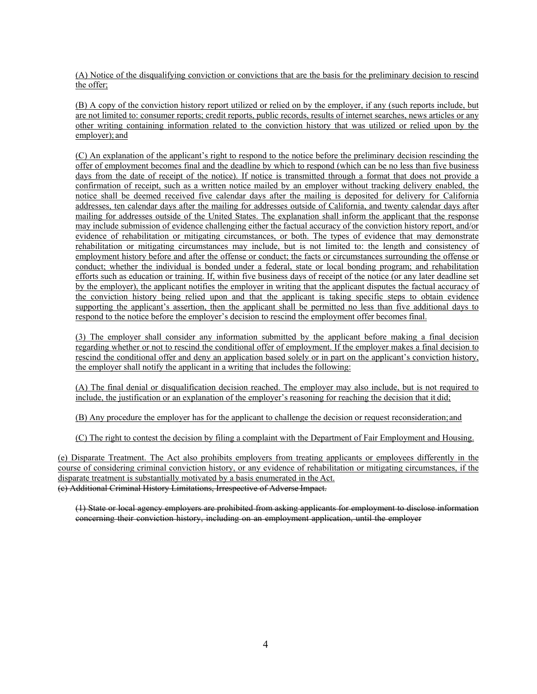(A) Notice of the disqualifying conviction or convictions that are the basis for the preliminary decision to rescind the offer;

(B) A copy of the conviction history report utilized or relied on by the employer, if any (such reports include, but are not limited to: consumer reports; credit reports, public records, results of internet searches, news articles or any other writing containing information related to the conviction history that was utilized or relied upon by the employer); and

(C) An explanation of the applicant's right to respond to the notice before the preliminary decision rescinding the offer of employment becomes final and the deadline by which to respond (which can be no less than five business days from the date of receipt of the notice). If notice is transmitted through a format that does not provide a confirmation of receipt, such as a written notice mailed by an employer without tracking delivery enabled, the notice shall be deemed received five calendar days after the mailing is deposited for delivery for California addresses, ten calendar days after the mailing for addresses outside of California, and twenty calendar days after mailing for addresses outside of the United States. The explanation shall inform the applicant that the response may include submission of evidence challenging either the factual accuracy of the conviction history report, and/or evidence of rehabilitation or mitigating circumstances, or both. The types of evidence that may demonstrate rehabilitation or mitigating circumstances may include, but is not limited to: the length and consistency of employment history before and after the offense or conduct; the facts or circumstances surrounding the offense or conduct; whether the individual is bonded under a federal, state or local bonding program; and rehabilitation efforts such as education or training. If, within five business days of receipt of the notice (or any later deadline set by the employer), the applicant notifies the employer in writing that the applicant disputes the factual accuracy of the conviction history being relied upon and that the applicant is taking specific steps to obtain evidence supporting the applicant's assertion, then the applicant shall be permitted no less than five additional days to respond to the notice before the employer's decision to rescind the employment offer becomes final.

(3) The employer shall consider any information submitted by the applicant before making a final decision regarding whether or not to rescind the conditional offer of employment. If the employer makes a final decision to rescind the conditional offer and deny an application based solely or in part on the applicant's conviction history, the employer shall notify the applicant in a writing that includes the following:

(A) The final denial or disqualification decision reached. The employer may also include, but is not required to include, the justification or an explanation of the employer's reasoning for reaching the decision that it did;

(B) Any procedure the employer has for the applicant to challenge the decision or request reconsideration; and

(C) The right to contest the decision by filing a complaint with the Department of Fair Employment and Housing.

(e) Disparate Treatment. The Act also prohibits employers from treating applicants or employees differently in the course of considering criminal conviction history, or any evidence of rehabilitation or mitigating circumstances, if the disparate treatment is substantially motivated by a basis enumerated in the Act. (c) Additional Criminal History Limitations, Irrespective of Adverse Impact.

(1) State or local agency employers are prohibited from asking applicants for employment to disclose information concerning their conviction history, including on an employment application, until the employer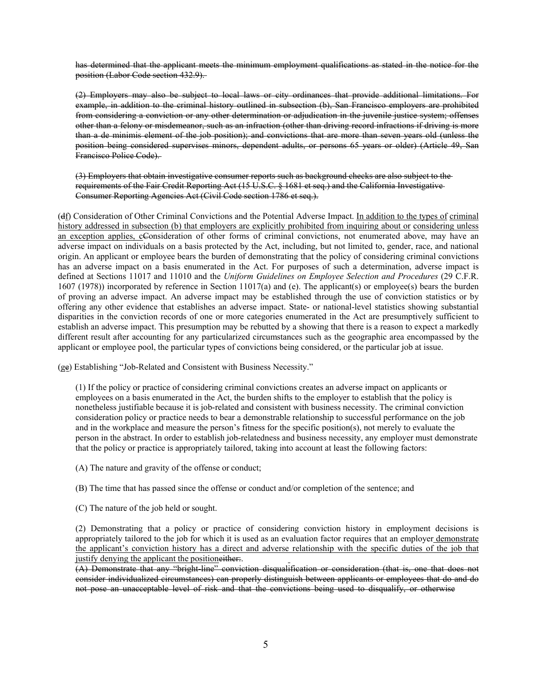has determined that the applicant meets the minimum employment qualifications as stated in the notice for the position (Labor Code section 432.9).

(2) Employers may also be subject to local laws or city ordinances that provide additional limitations. For example, in addition to the criminal history outlined in subsection (b), San Francisco employers are prohibited from considering a conviction or any other determination or adjudication in the juvenile justice system; offenses other than a felony or misdemeanor, such as an infraction (other than driving record infractions if driving is more than a de minimis element of the job position); and convictions that are more than seven years old (unless the position being considered supervises minors, dependent adults, or persons 65 years or older) (Article 49, San Francisco Police Code).

(3) Employers that obtain investigative consumer reports such as background checks are also subject to the requirements of the Fair Credit Reporting Act (15 U.S.C. § 1681 et seq.) and the California Investigative Consumer Reporting Agencies Act (Civil Code section 1786 et seq.).

(df) Consideration of Other Criminal Convictions and the Potential Adverse Impact. In addition to the types of criminal history addressed in subsection (b) that employers are explicitly prohibited from inquiring about or considering unless an exception applies, cConsideration of other forms of criminal convictions, not enumerated above, may have an adverse impact on individuals on a basis protected by the Act, including, but not limited to, gender, race, and national origin. An applicant or employee bears the burden of demonstrating that the policy of considering criminal convictions has an adverse impact on a basis enumerated in the Act. For purposes of such a determination, adverse impact is defined at Sections 11017 and 11010 and the *Uniform Guidelines on Employee Selection and Procedures* (29 C.F.R. 1607 (1978)) incorporated by reference in Section 11017(a) and (e). The applicant(s) or employee(s) bears the burden of proving an adverse impact. An adverse impact may be established through the use of conviction statistics or by offering any other evidence that establishes an adverse impact. State- or national-level statistics showing substantial disparities in the conviction records of one or more categories enumerated in the Act are presumptively sufficient to establish an adverse impact. This presumption may be rebutted by a showing that there is a reason to expect a markedly different result after accounting for any particularized circumstances such as the geographic area encompassed by the applicant or employee pool, the particular types of convictions being considered, or the particular job at issue.

(ge) Establishing "Job-Related and Consistent with Business Necessity."

(1) If the policy or practice of considering criminal convictions creates an adverse impact on applicants or employees on a basis enumerated in the Act, the burden shifts to the employer to establish that the policy is nonetheless justifiable because it is job-related and consistent with business necessity. The criminal conviction consideration policy or practice needs to bear a demonstrable relationship to successful performance on the job and in the workplace and measure the person's fitness for the specific position(s), not merely to evaluate the person in the abstract. In order to establish job-relatedness and business necessity, any employer must demonstrate that the policy or practice is appropriately tailored, taking into account at least the following factors:

(A) The nature and gravity of the offense or conduct;

(B) The time that has passed since the offense or conduct and/or completion of the sentence; and

(C) The nature of the job held or sought.

(2) Demonstrating that a policy or practice of considering conviction history in employment decisions is appropriately tailored to the job for which it is used as an evaluation factor requires that an employer demonstrate the applicant's conviction history has a direct and adverse relationship with the specific duties of the job that justify denying the applicant the position either.

(A) Demonstrate that any "bright-line" conviction disqualification or consideration (that is, one that does not consider individualized circumstances) can properly distinguish between applicants or employees that do and do not pose an unacceptable level of risk and that the convictions being used to disqualify, or otherwise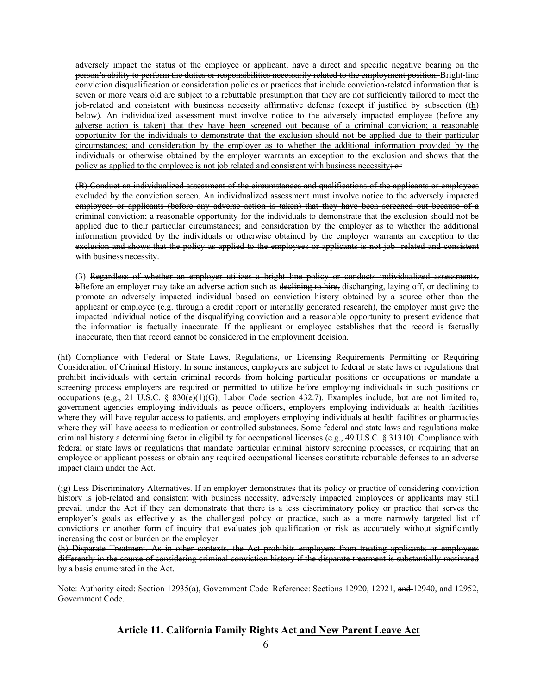adversely impact the status of the employee or applicant, have a direct and specific negative bearing on the person's ability to perform the duties or responsibilities necessarily related to the employment position. Bright-line conviction disqualification or consideration policies or practices that include conviction-related information that is seven or more years old are subject to a rebuttable presumption that they are not sufficiently tailored to meet the job-related and consistent with business necessity affirmative defense (except if justified by subsection  $(fh)$ ) below). An individualized assessment must involve notice to the adversely impacted employee (before any adverse action is taken) that they have been screened out because of a criminal conviction; a reasonable opportunity for the individuals to demonstrate that the exclusion should not be applied due to their particular circumstances; and consideration by the employer as to whether the additional information provided by the individuals or otherwise obtained by the employer warrants an exception to the exclusion and shows that the policy as applied to the employee is not job related and consistent with business necessity.

(B) Conduct an individualized assessment of the circumstances and qualifications of the applicants or employees excluded by the conviction screen. An individualized assessment must involve notice to the adversely impacted employees or applicants (before any adverse action is taken) that they have been screened out because of a criminal conviction; a reasonable opportunity for the individuals to demonstrate that the exclusion should not be applied due to their particular circumstances; and consideration by the employer as to whether the additional information provided by the individuals or otherwise obtained by the employer warrants an exception to the exclusion and shows that the policy as applied to the employees or applicants is not job- related and consistent with business necessity.

(3) Regardless of whether an employer utilizes a bright line policy or conducts individualized assessments, bBefore an employer may take an adverse action such as declining to hire, discharging, laying off, or declining to promote an adversely impacted individual based on conviction history obtained by a source other than the applicant or employee (e.g. through a credit report or internally generated research), the employer must give the impacted individual notice of the disqualifying conviction and a reasonable opportunity to present evidence that the information is factually inaccurate. If the applicant or employee establishes that the record is factually inaccurate, then that record cannot be considered in the employment decision.

(hf) Compliance with Federal or State Laws, Regulations, or Licensing Requirements Permitting or Requiring Consideration of Criminal History. In some instances, employers are subject to federal or state laws or regulations that prohibit individuals with certain criminal records from holding particular positions or occupations or mandate a screening process employers are required or permitted to utilize before employing individuals in such positions or occupations (e.g., 21 U.S.C. § 830(e)(1)(G); Labor Code section 432.7). Examples include, but are not limited to, government agencies employing individuals as peace officers, employers employing individuals at health facilities where they will have regular access to patients, and employers employing individuals at health facilities or pharmacies where they will have access to medication or controlled substances. Some federal and state laws and regulations make criminal history a determining factor in eligibility for occupational licenses (e.g., 49 U.S.C. § 31310). Compliance with federal or state laws or regulations that mandate particular criminal history screening processes, or requiring that an employee or applicant possess or obtain any required occupational licenses constitute rebuttable defenses to an adverse impact claim under the Act.

(ig) Less Discriminatory Alternatives. If an employer demonstrates that its policy or practice of considering conviction history is job-related and consistent with business necessity, adversely impacted employees or applicants may still prevail under the Act if they can demonstrate that there is a less discriminatory policy or practice that serves the employer's goals as effectively as the challenged policy or practice, such as a more narrowly targeted list of convictions or another form of inquiry that evaluates job qualification or risk as accurately without significantly increasing the cost or burden on the employer.

(h) Disparate Treatment. As in other contexts, the Act prohibits employers from treating applicants or employees differently in the course of considering criminal conviction history if the disparate treatment is substantially motivated by a basis enumerated in the Act.

Note: Authority cited: Section 12935(a), Government Code. Reference: Sections 12920, 12921, and 12940, and 12952, Government Code.

### **Article 11. California Family Rights Act and New Parent Leave Act**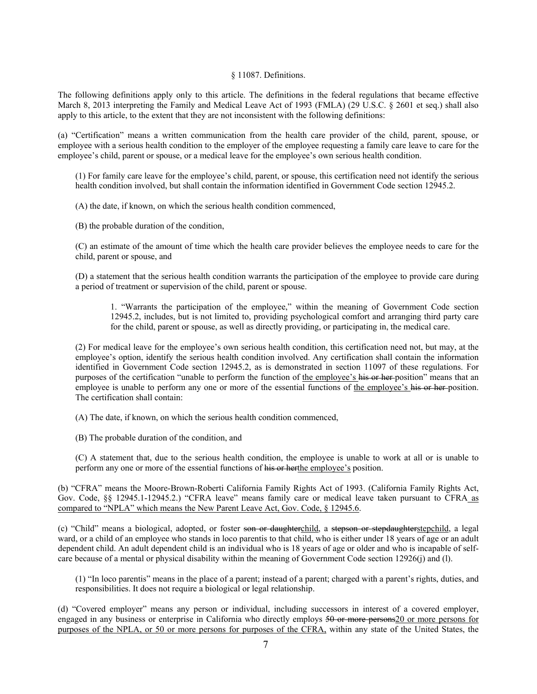#### § 11087. Definitions.

The following definitions apply only to this article. The definitions in the federal regulations that became effective March 8, 2013 interpreting the Family and Medical Leave Act of 1993 (FMLA) (29 U.S.C. § 2601 et seq.) shall also apply to this article, to the extent that they are not inconsistent with the following definitions:

(a) "Certification" means a written communication from the health care provider of the child, parent, spouse, or employee with a serious health condition to the employer of the employee requesting a family care leave to care for the employee's child, parent or spouse, or a medical leave for the employee's own serious health condition.

(1) For family care leave for the employee's child, parent, or spouse, this certification need not identify the serious health condition involved, but shall contain the information identified in Government Code section 12945.2.

(A) the date, if known, on which the serious health condition commenced,

(B) the probable duration of the condition,

(C) an estimate of the amount of time which the health care provider believes the employee needs to care for the child, parent or spouse, and

(D) a statement that the serious health condition warrants the participation of the employee to provide care during a period of treatment or supervision of the child, parent or spouse.

1. "Warrants the participation of the employee," within the meaning of Government Code section 12945.2, includes, but is not limited to, providing psychological comfort and arranging third party care for the child, parent or spouse, as well as directly providing, or participating in, the medical care.

(2) For medical leave for the employee's own serious health condition, this certification need not, but may, at the employee's option, identify the serious health condition involved. Any certification shall contain the information identified in Government Code section 12945.2, as is demonstrated in section 11097 of these regulations. For purposes of the certification "unable to perform the function of the employee's his or her position" means that an employee is unable to perform any one or more of the essential functions of the employee's his or her position. The certification shall contain:

(A) The date, if known, on which the serious health condition commenced,

(B) The probable duration of the condition, and

(C) A statement that, due to the serious health condition, the employee is unable to work at all or is unable to perform any one or more of the essential functions of his or herthe employee's position.

(b) "CFRA" means the Moore-Brown-Roberti California Family Rights Act of 1993. (California Family Rights Act, Gov. Code, §§ 12945.1-12945.2.) "CFRA leave" means family care or medical leave taken pursuant to CFRA as compared to "NPLA" which means the New Parent Leave Act, Gov. Code, § 12945.6.

(c) "Child" means a biological, adopted, or foster son or daughterchild, a stepson or stepdaughterstepchild, a legal ward, or a child of an employee who stands in loco parentis to that child, who is either under 18 years of age or an adult dependent child. An adult dependent child is an individual who is 18 years of age or older and who is incapable of selfcare because of a mental or physical disability within the meaning of Government Code section 12926(j) and (l).

(1) "In loco parentis" means in the place of a parent; instead of a parent; charged with a parent's rights, duties, and responsibilities. It does not require a biological or legal relationship.

(d) "Covered employer" means any person or individual, including successors in interest of a covered employer, engaged in any business or enterprise in California who directly employs 50 or more persons20 or more persons for purposes of the NPLA, or 50 or more persons for purposes of the CFRA, within any state of the United States, the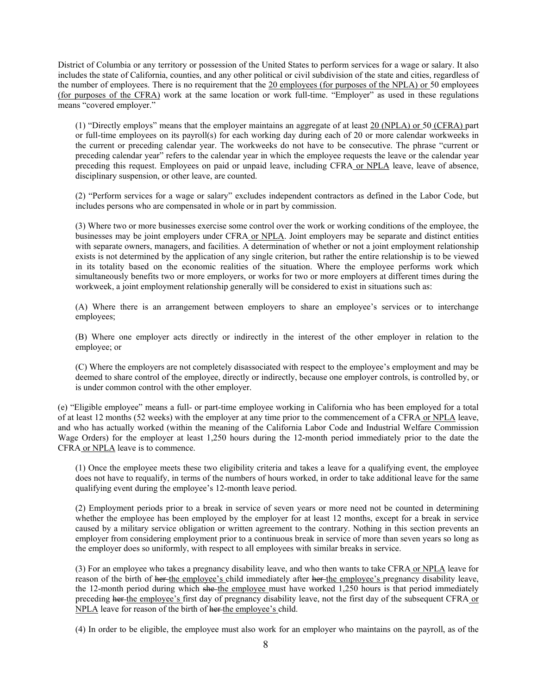District of Columbia or any territory or possession of the United States to perform services for a wage or salary. It also includes the state of California, counties, and any other political or civil subdivision of the state and cities, regardless of the number of employees. There is no requirement that the 20 employees (for purposes of the NPLA) or 50 employees (for purposes of the CFRA) work at the same location or work full-time. "Employer" as used in these regulations means "covered employer."

(1) "Directly employs" means that the employer maintains an aggregate of at least 20 (NPLA) or 50 (CFRA) part or full-time employees on its payroll(s) for each working day during each of 20 or more calendar workweeks in the current or preceding calendar year. The workweeks do not have to be consecutive. The phrase "current or preceding calendar year" refers to the calendar year in which the employee requests the leave or the calendar year preceding this request. Employees on paid or unpaid leave, including CFRA or NPLA leave, leave of absence, disciplinary suspension, or other leave, are counted.

(2) "Perform services for a wage or salary" excludes independent contractors as defined in the Labor Code, but includes persons who are compensated in whole or in part by commission.

(3) Where two or more businesses exercise some control over the work or working conditions of the employee, the businesses may be joint employers under CFRA or NPLA. Joint employers may be separate and distinct entities with separate owners, managers, and facilities. A determination of whether or not a joint employment relationship exists is not determined by the application of any single criterion, but rather the entire relationship is to be viewed in its totality based on the economic realities of the situation. Where the employee performs work which simultaneously benefits two or more employers, or works for two or more employers at different times during the workweek, a joint employment relationship generally will be considered to exist in situations such as:

(A) Where there is an arrangement between employers to share an employee's services or to interchange employees;

(B) Where one employer acts directly or indirectly in the interest of the other employer in relation to the employee; or

(C) Where the employers are not completely disassociated with respect to the employee's employment and may be deemed to share control of the employee, directly or indirectly, because one employer controls, is controlled by, or is under common control with the other employer.

(e) "Eligible employee" means a full- or part-time employee working in California who has been employed for a total of at least 12 months (52 weeks) with the employer at any time prior to the commencement of a CFRA or NPLA leave, and who has actually worked (within the meaning of the California Labor Code and Industrial Welfare Commission Wage Orders) for the employer at least 1,250 hours during the 12-month period immediately prior to the date the CFRA or NPLA leave is to commence.

(1) Once the employee meets these two eligibility criteria and takes a leave for a qualifying event, the employee does not have to requalify, in terms of the numbers of hours worked, in order to take additional leave for the same qualifying event during the employee's 12-month leave period.

(2) Employment periods prior to a break in service of seven years or more need not be counted in determining whether the employee has been employed by the employer for at least 12 months, except for a break in service caused by a military service obligation or written agreement to the contrary. Nothing in this section prevents an employer from considering employment prior to a continuous break in service of more than seven years so long as the employer does so uniformly, with respect to all employees with similar breaks in service.

(3) For an employee who takes a pregnancy disability leave, and who then wants to take CFRA or NPLA leave for reason of the birth of her the employee's child immediately after her the employee's pregnancy disability leave, the 12-month period during which she the employee must have worked 1,250 hours is that period immediately preceding her the employee's first day of pregnancy disability leave, not the first day of the subsequent CFRA or NPLA leave for reason of the birth of her the employee's child.

(4) In order to be eligible, the employee must also work for an employer who maintains on the payroll, as of the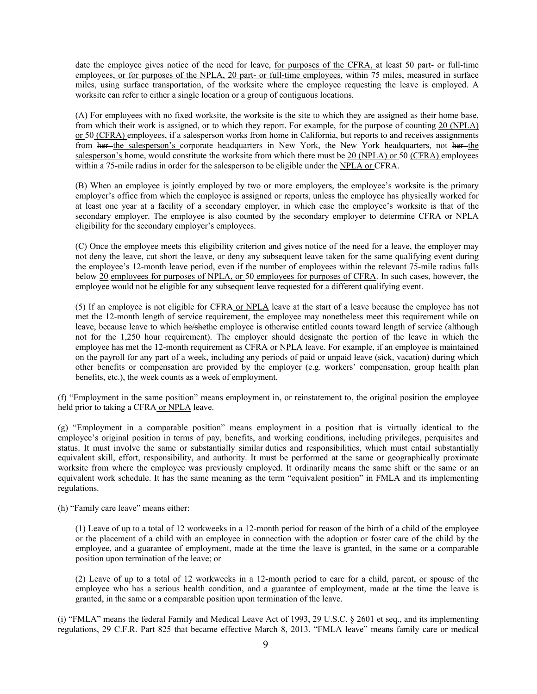date the employee gives notice of the need for leave, for purposes of the CFRA, at least 50 part- or full-time employees, or for purposes of the NPLA, 20 part- or full-time employees, within 75 miles, measured in surface miles, using surface transportation, of the worksite where the employee requesting the leave is employed. A worksite can refer to either a single location or a group of contiguous locations.

(A) For employees with no fixed worksite, the worksite is the site to which they are assigned as their home base, from which their work is assigned, or to which they report. For example, for the purpose of counting 20 (NPLA) or 50 (CFRA) employees, if a salesperson works from home in California, but reports to and receives assignments from her-the salesperson's corporate headquarters in New York, the New York headquarters, not her the salesperson's home, would constitute the worksite from which there must be 20 (NPLA) or 50 (CFRA) employees within a 75-mile radius in order for the salesperson to be eligible under the NPLA or CFRA.

(B) When an employee is jointly employed by two or more employers, the employee's worksite is the primary employer's office from which the employee is assigned or reports, unless the employee has physically worked for at least one year at a facility of a secondary employer, in which case the employee's worksite is that of the secondary employer. The employee is also counted by the secondary employer to determine CFRA or NPLA eligibility for the secondary employer's employees.

(C) Once the employee meets this eligibility criterion and gives notice of the need for a leave, the employer may not deny the leave, cut short the leave, or deny any subsequent leave taken for the same qualifying event during the employee's 12-month leave period, even if the number of employees within the relevant 75-mile radius falls below 20 employees for purposes of NPLA, or 50 employees for purposes of CFRA. In such cases, however, the employee would not be eligible for any subsequent leave requested for a different qualifying event.

(5) If an employee is not eligible for CFRA or NPLA leave at the start of a leave because the employee has not met the 12-month length of service requirement, the employee may nonetheless meet this requirement while on leave, because leave to which he/shethe employee is otherwise entitled counts toward length of service (although not for the 1,250 hour requirement). The employer should designate the portion of the leave in which the employee has met the 12-month requirement as CFRA or NPLA leave. For example, if an employee is maintained on the payroll for any part of a week, including any periods of paid or unpaid leave (sick, vacation) during which other benefits or compensation are provided by the employer (e.g. workers' compensation, group health plan benefits, etc.), the week counts as a week of employment.

(f) "Employment in the same position" means employment in, or reinstatement to, the original position the employee held prior to taking a CFRA or NPLA leave.

(g) "Employment in a comparable position" means employment in a position that is virtually identical to the employee's original position in terms of pay, benefits, and working conditions, including privileges, perquisites and status. It must involve the same or substantially similar duties and responsibilities, which must entail substantially equivalent skill, effort, responsibility, and authority. It must be performed at the same or geographically proximate worksite from where the employee was previously employed. It ordinarily means the same shift or the same or an equivalent work schedule. It has the same meaning as the term "equivalent position" in FMLA and its implementing regulations.

(h) "Family care leave" means either:

(1) Leave of up to a total of 12 workweeks in a 12-month period for reason of the birth of a child of the employee or the placement of a child with an employee in connection with the adoption or foster care of the child by the employee, and a guarantee of employment, made at the time the leave is granted, in the same or a comparable position upon termination of the leave; or

(2) Leave of up to a total of 12 workweeks in a 12-month period to care for a child, parent, or spouse of the employee who has a serious health condition, and a guarantee of employment, made at the time the leave is granted, in the same or a comparable position upon termination of the leave.

(i) "FMLA" means the federal Family and Medical Leave Act of 1993, 29 U.S.C. § 2601 et seq., and its implementing regulations, 29 C.F.R. Part 825 that became effective March 8, 2013. "FMLA leave" means family care or medical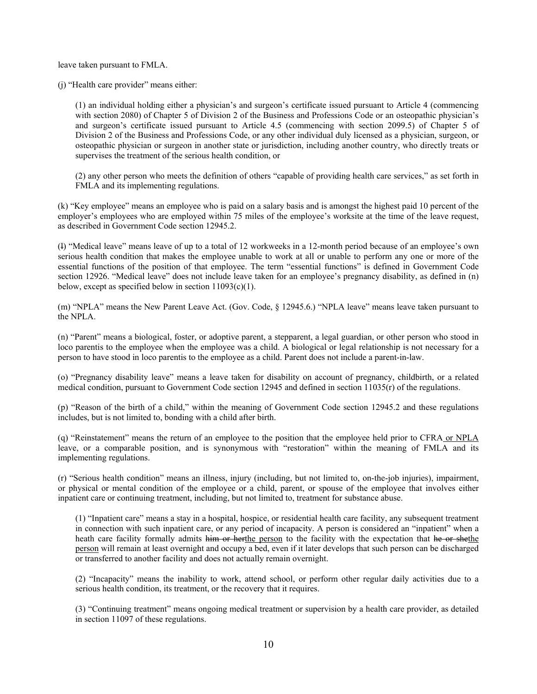leave taken pursuant to FMLA.

(j) "Health care provider" means either:

(1) an individual holding either a physician's and surgeon's certificate issued pursuant to Article 4 (commencing with section 2080) of Chapter 5 of Division 2 of the Business and Professions Code or an osteopathic physician's and surgeon's certificate issued pursuant to Article 4.5 (commencing with section 2099.5) of Chapter 5 of Division 2 of the Business and Professions Code, or any other individual duly licensed as a physician, surgeon, or osteopathic physician or surgeon in another state or jurisdiction, including another country, who directly treats or supervises the treatment of the serious health condition, or

(2) any other person who meets the definition of others "capable of providing health care services," as set forth in FMLA and its implementing regulations.

(k) "Key employee" means an employee who is paid on a salary basis and is amongst the highest paid 10 percent of the employer's employees who are employed within 75 miles of the employee's worksite at the time of the leave request, as described in Government Code section 12945.2.

(l) "Medical leave" means leave of up to a total of 12 workweeks in a 12-month period because of an employee's own serious health condition that makes the employee unable to work at all or unable to perform any one or more of the essential functions of the position of that employee. The term "essential functions" is defined in Government Code section 12926. "Medical leave" does not include leave taken for an employee's pregnancy disability, as defined in (n) below, except as specified below in section  $11093(c)(1)$ .

(m) "NPLA" means the New Parent Leave Act. (Gov. Code, § 12945.6.) "NPLA leave" means leave taken pursuant to the NPLA.

(n) "Parent" means a biological, foster, or adoptive parent, a stepparent, a legal guardian, or other person who stood in loco parentis to the employee when the employee was a child. A biological or legal relationship is not necessary for a person to have stood in loco parentis to the employee as a child. Parent does not include a parent-in-law.

(o) "Pregnancy disability leave" means a leave taken for disability on account of pregnancy, childbirth, or a related medical condition, pursuant to Government Code section 12945 and defined in section 11035(r) of the regulations.

(p) "Reason of the birth of a child," within the meaning of Government Code section 12945.2 and these regulations includes, but is not limited to, bonding with a child after birth.

(q) "Reinstatement" means the return of an employee to the position that the employee held prior to CFRA or NPLA leave, or a comparable position, and is synonymous with "restoration" within the meaning of FMLA and its implementing regulations.

(r) "Serious health condition" means an illness, injury (including, but not limited to, on-the-job injuries), impairment, or physical or mental condition of the employee or a child, parent, or spouse of the employee that involves either inpatient care or continuing treatment, including, but not limited to, treatment for substance abuse.

(1) "Inpatient care" means a stay in a hospital, hospice, or residential health care facility, any subsequent treatment in connection with such inpatient care, or any period of incapacity. A person is considered an "inpatient" when a heath care facility formally admits him or herthe person to the facility with the expectation that he or shethe person will remain at least overnight and occupy a bed, even if it later develops that such person can be discharged or transferred to another facility and does not actually remain overnight.

(2) "Incapacity" means the inability to work, attend school, or perform other regular daily activities due to a serious health condition, its treatment, or the recovery that it requires.

(3) "Continuing treatment" means ongoing medical treatment or supervision by a health care provider, as detailed in section 11097 of these regulations.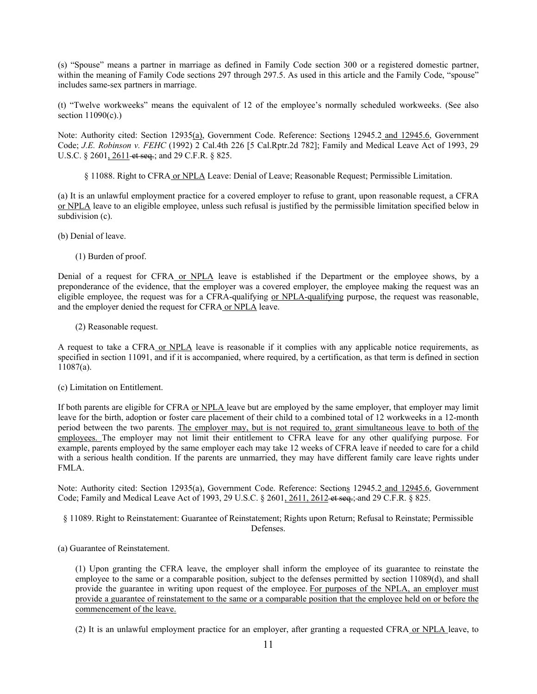(s) "Spouse" means a partner in marriage as defined in Family Code section 300 or a registered domestic partner, within the meaning of Family Code sections 297 through 297.5. As used in this article and the Family Code, "spouse" includes same-sex partners in marriage.

(t) "Twelve workweeks" means the equivalent of 12 of the employee's normally scheduled workweeks. (See also section 11090(c).)

Note: Authority cited: Section 12935(a), Government Code. Reference: Sections 12945.2 and 12945.6, Government Code; *J.E. Robinson v. FEHC* (1992) 2 Cal.4th 226 [5 Cal.Rptr.2d 782]; Family and Medical Leave Act of 1993, 29 U.S.C. § 2601, 2611-et seq.; and 29 C.F.R. § 825.

§ 11088. Right to CFRA or NPLA Leave: Denial of Leave; Reasonable Request; Permissible Limitation.

(a) It is an unlawful employment practice for a covered employer to refuse to grant, upon reasonable request, a CFRA or NPLA leave to an eligible employee, unless such refusal is justified by the permissible limitation specified below in subdivision (c).

(b) Denial of leave.

(1) Burden of proof.

Denial of a request for CFRA or NPLA leave is established if the Department or the employee shows, by a preponderance of the evidence, that the employer was a covered employer, the employee making the request was an eligible employee, the request was for a CFRA-qualifying or NPLA-qualifying purpose, the request was reasonable, and the employer denied the request for CFRA or NPLA leave.

(2) Reasonable request.

A request to take a CFRA or NPLA leave is reasonable if it complies with any applicable notice requirements, as specified in section 11091, and if it is accompanied, where required, by a certification, as that term is defined in section 11087(a).

(c) Limitation on Entitlement.

If both parents are eligible for CFRA or NPLA leave but are employed by the same employer, that employer may limit leave for the birth, adoption or foster care placement of their child to a combined total of 12 workweeks in a 12-month period between the two parents. The employer may, but is not required to, grant simultaneous leave to both of the employees. The employer may not limit their entitlement to CFRA leave for any other qualifying purpose. For example, parents employed by the same employer each may take 12 weeks of CFRA leave if needed to care for a child with a serious health condition. If the parents are unmarried, they may have different family care leave rights under FMLA.

Note: Authority cited: Section 12935(a), Government Code. Reference: Sections 12945.2 and 12945.6, Government Code; Family and Medical Leave Act of 1993, 29 U.S.C. § 2601, 2611, 2612 et seq.; and 29 C.F.R. § 825.

§ 11089. Right to Reinstatement: Guarantee of Reinstatement; Rights upon Return; Refusal to Reinstate; Permissible Defenses.

(a) Guarantee of Reinstatement.

(1) Upon granting the CFRA leave, the employer shall inform the employee of its guarantee to reinstate the employee to the same or a comparable position, subject to the defenses permitted by section 11089(d), and shall provide the guarantee in writing upon request of the employee. For purposes of the NPLA, an employer must provide a guarantee of reinstatement to the same or a comparable position that the employee held on or before the commencement of the leave.

(2) It is an unlawful employment practice for an employer, after granting a requested CFRA or NPLA leave, to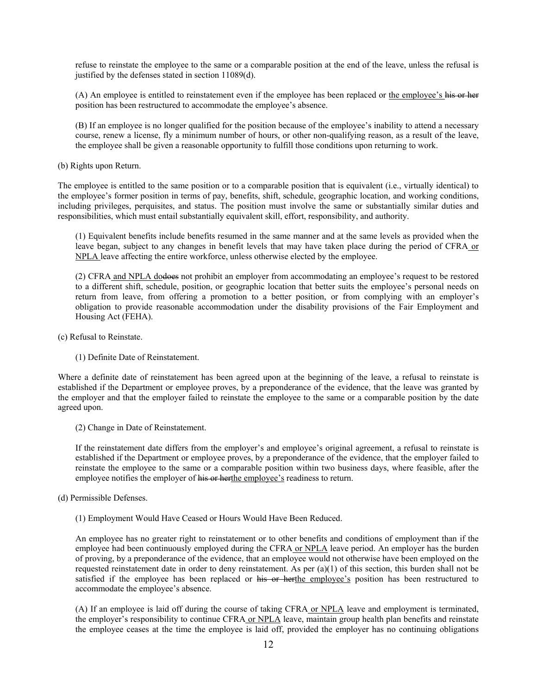refuse to reinstate the employee to the same or a comparable position at the end of the leave, unless the refusal is justified by the defenses stated in section 11089(d).

(A) An employee is entitled to reinstatement even if the employee has been replaced or the employee's his or her position has been restructured to accommodate the employee's absence.

(B) If an employee is no longer qualified for the position because of the employee's inability to attend a necessary course, renew a license, fly a minimum number of hours, or other non-qualifying reason, as a result of the leave, the employee shall be given a reasonable opportunity to fulfill those conditions upon returning to work.

(b) Rights upon Return.

The employee is entitled to the same position or to a comparable position that is equivalent (i.e., virtually identical) to the employee's former position in terms of pay, benefits, shift, schedule, geographic location, and working conditions, including privileges, perquisites, and status. The position must involve the same or substantially similar duties and responsibilities, which must entail substantially equivalent skill, effort, responsibility, and authority.

(1) Equivalent benefits include benefits resumed in the same manner and at the same levels as provided when the leave began, subject to any changes in benefit levels that may have taken place during the period of CFRA or NPLA leave affecting the entire workforce, unless otherwise elected by the employee.

(2) CFRA and NPLA dodoes not prohibit an employer from accommodating an employee's request to be restored to a different shift, schedule, position, or geographic location that better suits the employee's personal needs on return from leave, from offering a promotion to a better position, or from complying with an employer's obligation to provide reasonable accommodation under the disability provisions of the Fair Employment and Housing Act (FEHA).

- (c) Refusal to Reinstate.
	- (1) Definite Date of Reinstatement.

Where a definite date of reinstatement has been agreed upon at the beginning of the leave, a refusal to reinstate is established if the Department or employee proves, by a preponderance of the evidence, that the leave was granted by the employer and that the employer failed to reinstate the employee to the same or a comparable position by the date agreed upon.

(2) Change in Date of Reinstatement.

If the reinstatement date differs from the employer's and employee's original agreement, a refusal to reinstate is established if the Department or employee proves, by a preponderance of the evidence, that the employer failed to reinstate the employee to the same or a comparable position within two business days, where feasible, after the employee notifies the employer of his or herthe employee's readiness to return.

- (d) Permissible Defenses.
	- (1) Employment Would Have Ceased or Hours Would Have Been Reduced.

An employee has no greater right to reinstatement or to other benefits and conditions of employment than if the employee had been continuously employed during the CFRA or NPLA leave period. An employer has the burden of proving, by a preponderance of the evidence, that an employee would not otherwise have been employed on the requested reinstatement date in order to deny reinstatement. As per (a)(1) of this section, this burden shall not be satisfied if the employee has been replaced or his or herthe employee's position has been restructured to accommodate the employee's absence.

(A) If an employee is laid off during the course of taking CFRA or NPLA leave and employment is terminated, the employer's responsibility to continue CFRA or NPLA leave, maintain group health plan benefits and reinstate the employee ceases at the time the employee is laid off, provided the employer has no continuing obligations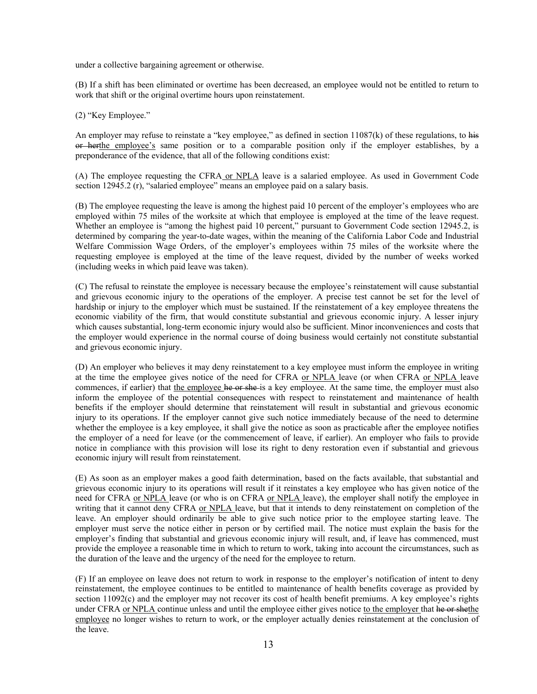under a collective bargaining agreement or otherwise.

(B) If a shift has been eliminated or overtime has been decreased, an employee would not be entitled to return to work that shift or the original overtime hours upon reinstatement.

(2) "Key Employee."

An employer may refuse to reinstate a "key employee," as defined in section  $11087(k)$  of these regulations, to his or herthe employee's same position or to a comparable position only if the employer establishes, by a preponderance of the evidence, that all of the following conditions exist:

(A) The employee requesting the CFRA or NPLA leave is a salaried employee. As used in Government Code section 12945.2 (r), "salaried employee" means an employee paid on a salary basis.

(B) The employee requesting the leave is among the highest paid 10 percent of the employer's employees who are employed within 75 miles of the worksite at which that employee is employed at the time of the leave request. Whether an employee is "among the highest paid 10 percent," pursuant to Government Code section 12945.2, is determined by comparing the year-to-date wages, within the meaning of the California Labor Code and Industrial Welfare Commission Wage Orders, of the employer's employees within 75 miles of the worksite where the requesting employee is employed at the time of the leave request, divided by the number of weeks worked (including weeks in which paid leave was taken).

(C) The refusal to reinstate the employee is necessary because the employee's reinstatement will cause substantial and grievous economic injury to the operations of the employer. A precise test cannot be set for the level of hardship or injury to the employer which must be sustained. If the reinstatement of a key employee threatens the economic viability of the firm, that would constitute substantial and grievous economic injury. A lesser injury which causes substantial, long-term economic injury would also be sufficient. Minor inconveniences and costs that the employer would experience in the normal course of doing business would certainly not constitute substantial and grievous economic injury.

(D) An employer who believes it may deny reinstatement to a key employee must inform the employee in writing at the time the employee gives notice of the need for CFRA or NPLA leave (or when CFRA or NPLA leave commences, if earlier) that the employee he or she is a key employee. At the same time, the employer must also inform the employee of the potential consequences with respect to reinstatement and maintenance of health benefits if the employer should determine that reinstatement will result in substantial and grievous economic injury to its operations. If the employer cannot give such notice immediately because of the need to determine whether the employee is a key employee, it shall give the notice as soon as practicable after the employee notifies the employer of a need for leave (or the commencement of leave, if earlier). An employer who fails to provide notice in compliance with this provision will lose its right to deny restoration even if substantial and grievous economic injury will result from reinstatement.

(E) As soon as an employer makes a good faith determination, based on the facts available, that substantial and grievous economic injury to its operations will result if it reinstates a key employee who has given notice of the need for CFRA or NPLA leave (or who is on CFRA or NPLA leave), the employer shall notify the employee in writing that it cannot deny CFRA or NPLA leave, but that it intends to deny reinstatement on completion of the leave. An employer should ordinarily be able to give such notice prior to the employee starting leave. The employer must serve the notice either in person or by certified mail. The notice must explain the basis for the employer's finding that substantial and grievous economic injury will result, and, if leave has commenced, must provide the employee a reasonable time in which to return to work, taking into account the circumstances, such as the duration of the leave and the urgency of the need for the employee to return.

(F) If an employee on leave does not return to work in response to the employer's notification of intent to deny reinstatement, the employee continues to be entitled to maintenance of health benefits coverage as provided by section 11092(c) and the employer may not recover its cost of health benefit premiums. A key employee's rights under CFRA or NPLA continue unless and until the employee either gives notice to the employer that he or shethe employee no longer wishes to return to work, or the employer actually denies reinstatement at the conclusion of the leave.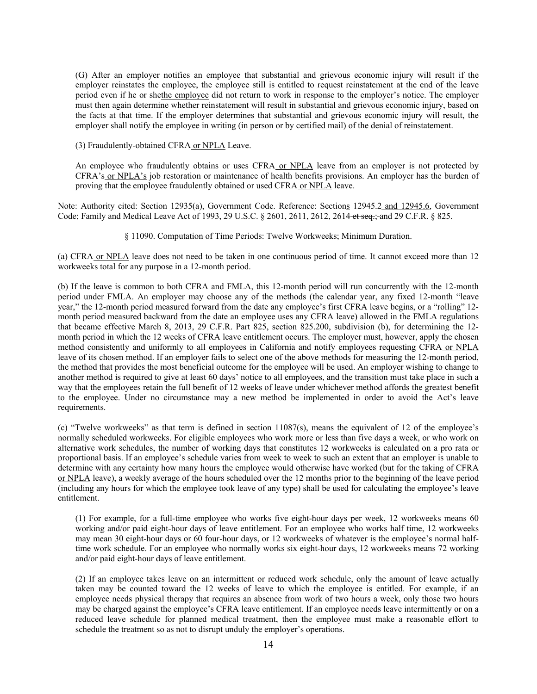(G) After an employer notifies an employee that substantial and grievous economic injury will result if the employer reinstates the employee, the employee still is entitled to request reinstatement at the end of the leave period even if he or shethe employee did not return to work in response to the employer's notice. The employer must then again determine whether reinstatement will result in substantial and grievous economic injury, based on the facts at that time. If the employer determines that substantial and grievous economic injury will result, the employer shall notify the employee in writing (in person or by certified mail) of the denial of reinstatement.

(3) Fraudulently-obtained CFRA or NPLA Leave.

An employee who fraudulently obtains or uses CFRA or NPLA leave from an employer is not protected by CFRA's or NPLA's job restoration or maintenance of health benefits provisions. An employer has the burden of proving that the employee fraudulently obtained or used CFRA or NPLA leave.

Note: Authority cited: Section 12935(a), Government Code. Reference: Sections 12945.2 and 12945.6, Government Code; Family and Medical Leave Act of 1993, 29 U.S.C. § 2601, 2611, 2612, 2614 et seq.; and 29 C.F.R. § 825.

§ 11090. Computation of Time Periods: Twelve Workweeks; Minimum Duration.

(a) CFRA or NPLA leave does not need to be taken in one continuous period of time. It cannot exceed more than 12 workweeks total for any purpose in a 12-month period.

(b) If the leave is common to both CFRA and FMLA, this 12-month period will run concurrently with the 12-month period under FMLA. An employer may choose any of the methods (the calendar year, any fixed 12-month "leave year," the 12-month period measured forward from the date any employee's first CFRA leave begins, or a "rolling" 12 month period measured backward from the date an employee uses any CFRA leave) allowed in the FMLA regulations that became effective March 8, 2013, 29 C.F.R. Part 825, section 825.200, subdivision (b), for determining the 12 month period in which the 12 weeks of CFRA leave entitlement occurs. The employer must, however, apply the chosen method consistently and uniformly to all employees in California and notify employees requesting CFRA or NPLA leave of its chosen method. If an employer fails to select one of the above methods for measuring the 12-month period, the method that provides the most beneficial outcome for the employee will be used. An employer wishing to change to another method is required to give at least 60 days' notice to all employees, and the transition must take place in such a way that the employees retain the full benefit of 12 weeks of leave under whichever method affords the greatest benefit to the employee. Under no circumstance may a new method be implemented in order to avoid the Act's leave requirements.

(c) "Twelve workweeks" as that term is defined in section 11087(s), means the equivalent of 12 of the employee's normally scheduled workweeks. For eligible employees who work more or less than five days a week, or who work on alternative work schedules, the number of working days that constitutes 12 workweeks is calculated on a pro rata or proportional basis. If an employee's schedule varies from week to week to such an extent that an employer is unable to determine with any certainty how many hours the employee would otherwise have worked (but for the taking of CFRA or NPLA leave), a weekly average of the hours scheduled over the 12 months prior to the beginning of the leave period (including any hours for which the employee took leave of any type) shall be used for calculating the employee's leave entitlement.

(1) For example, for a full-time employee who works five eight-hour days per week, 12 workweeks means 60 working and/or paid eight-hour days of leave entitlement. For an employee who works half time, 12 workweeks may mean 30 eight-hour days or 60 four-hour days, or 12 workweeks of whatever is the employee's normal halftime work schedule. For an employee who normally works six eight-hour days, 12 workweeks means 72 working and/or paid eight-hour days of leave entitlement.

(2) If an employee takes leave on an intermittent or reduced work schedule, only the amount of leave actually taken may be counted toward the 12 weeks of leave to which the employee is entitled. For example, if an employee needs physical therapy that requires an absence from work of two hours a week, only those two hours may be charged against the employee's CFRA leave entitlement. If an employee needs leave intermittently or on a reduced leave schedule for planned medical treatment, then the employee must make a reasonable effort to schedule the treatment so as not to disrupt unduly the employer's operations.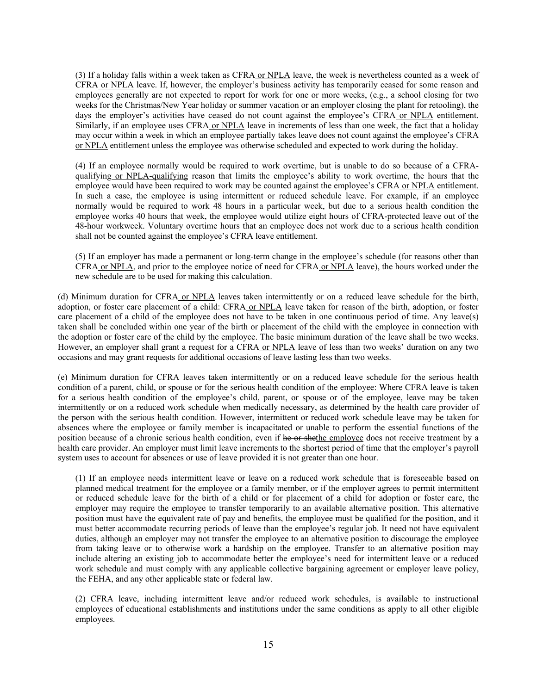(3) If a holiday falls within a week taken as CFRA or NPLA leave, the week is nevertheless counted as a week of CFRA or NPLA leave. If, however, the employer's business activity has temporarily ceased for some reason and employees generally are not expected to report for work for one or more weeks, (e.g., a school closing for two weeks for the Christmas/New Year holiday or summer vacation or an employer closing the plant for retooling), the days the employer's activities have ceased do not count against the employee's CFRA or NPLA entitlement. Similarly, if an employee uses CFRA or NPLA leave in increments of less than one week, the fact that a holiday may occur within a week in which an employee partially takes leave does not count against the employee's CFRA or NPLA entitlement unless the employee was otherwise scheduled and expected to work during the holiday.

(4) If an employee normally would be required to work overtime, but is unable to do so because of a CFRAqualifying or NPLA-qualifying reason that limits the employee's ability to work overtime, the hours that the employee would have been required to work may be counted against the employee's CFRA or NPLA entitlement. In such a case, the employee is using intermittent or reduced schedule leave. For example, if an employee normally would be required to work 48 hours in a particular week, but due to a serious health condition the employee works 40 hours that week, the employee would utilize eight hours of CFRA-protected leave out of the 48-hour workweek. Voluntary overtime hours that an employee does not work due to a serious health condition shall not be counted against the employee's CFRA leave entitlement.

(5) If an employer has made a permanent or long-term change in the employee's schedule (for reasons other than CFRA or NPLA, and prior to the employee notice of need for CFRA or NPLA leave), the hours worked under the new schedule are to be used for making this calculation.

(d) Minimum duration for CFRA or NPLA leaves taken intermittently or on a reduced leave schedule for the birth, adoption, or foster care placement of a child: CFRA or NPLA leave taken for reason of the birth, adoption, or foster care placement of a child of the employee does not have to be taken in one continuous period of time. Any leave(s) taken shall be concluded within one year of the birth or placement of the child with the employee in connection with the adoption or foster care of the child by the employee. The basic minimum duration of the leave shall be two weeks. However, an employer shall grant a request for a CFRA or NPLA leave of less than two weeks' duration on any two occasions and may grant requests for additional occasions of leave lasting less than two weeks.

(e) Minimum duration for CFRA leaves taken intermittently or on a reduced leave schedule for the serious health condition of a parent, child, or spouse or for the serious health condition of the employee: Where CFRA leave is taken for a serious health condition of the employee's child, parent, or spouse or of the employee, leave may be taken intermittently or on a reduced work schedule when medically necessary, as determined by the health care provider of the person with the serious health condition. However, intermittent or reduced work schedule leave may be taken for absences where the employee or family member is incapacitated or unable to perform the essential functions of the position because of a chronic serious health condition, even if he or shethe employee does not receive treatment by a health care provider. An employer must limit leave increments to the shortest period of time that the employer's payroll system uses to account for absences or use of leave provided it is not greater than one hour.

(1) If an employee needs intermittent leave or leave on a reduced work schedule that is foreseeable based on planned medical treatment for the employee or a family member, or if the employer agrees to permit intermittent or reduced schedule leave for the birth of a child or for placement of a child for adoption or foster care, the employer may require the employee to transfer temporarily to an available alternative position. This alternative position must have the equivalent rate of pay and benefits, the employee must be qualified for the position, and it must better accommodate recurring periods of leave than the employee's regular job. It need not have equivalent duties, although an employer may not transfer the employee to an alternative position to discourage the employee from taking leave or to otherwise work a hardship on the employee. Transfer to an alternative position may include altering an existing job to accommodate better the employee's need for intermittent leave or a reduced work schedule and must comply with any applicable collective bargaining agreement or employer leave policy, the FEHA, and any other applicable state or federal law.

(2) CFRA leave, including intermittent leave and/or reduced work schedules, is available to instructional employees of educational establishments and institutions under the same conditions as apply to all other eligible employees.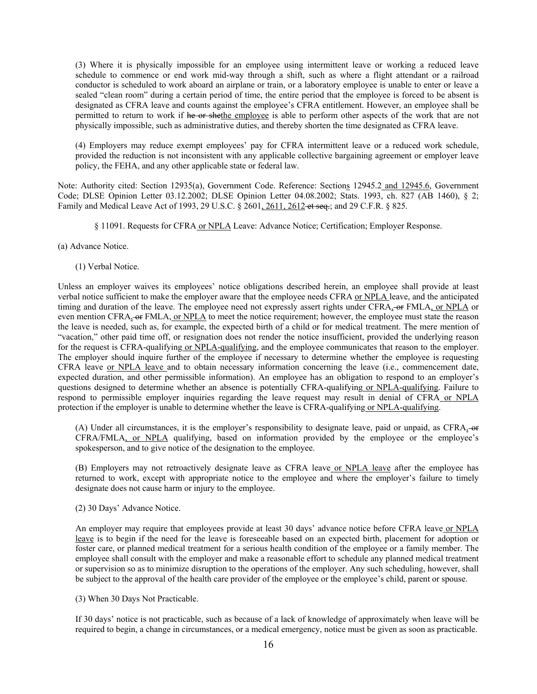(3) Where it is physically impossible for an employee using intermittent leave or working a reduced leave schedule to commence or end work mid-way through a shift, such as where a flight attendant or a railroad conductor is scheduled to work aboard an airplane or train, or a laboratory employee is unable to enter or leave a sealed "clean room" during a certain period of time, the entire period that the employee is forced to be absent is designated as CFRA leave and counts against the employee's CFRA entitlement. However, an employee shall be permitted to return to work if he or shethe employee is able to perform other aspects of the work that are not physically impossible, such as administrative duties, and thereby shorten the time designated as CFRA leave.

(4) Employers may reduce exempt employees' pay for CFRA intermittent leave or a reduced work schedule, provided the reduction is not inconsistent with any applicable collective bargaining agreement or employer leave policy, the FEHA, and any other applicable state or federal law.

Note: Authority cited: Section 12935(a), Government Code. Reference: Sections 12945.2 and 12945.6, Government Code; DLSE Opinion Letter 03.12.2002; DLSE Opinion Letter 04.08.2002; Stats. 1993, ch. 827 (AB 1460), § 2; Family and Medical Leave Act of 1993, 29 U.S.C. § 2601, 2611, 2612-et seq.; and 29 C.F.R. § 825.

§ 11091. Requests for CFRA or NPLA Leave: Advance Notice; Certification; Employer Response.

(a) Advance Notice.

#### (1) Verbal Notice.

Unless an employer waives its employees' notice obligations described herein, an employee shall provide at least verbal notice sufficient to make the employer aware that the employee needs CFRA or NPLA leave, and the anticipated timing and duration of the leave. The employee need not expressly assert rights under CFRA, or FMLA, or NPLA or even mention CFRA,  $\Theta$  FMLA, or NPLA to meet the notice requirement; however, the employee must state the reason the leave is needed, such as, for example, the expected birth of a child or for medical treatment. The mere mention of "vacation," other paid time off, or resignation does not render the notice insufficient, provided the underlying reason for the request is CFRA-qualifying or NPLA-qualifying, and the employee communicates that reason to the employer. The employer should inquire further of the employee if necessary to determine whether the employee is requesting CFRA leave or NPLA leave and to obtain necessary information concerning the leave (i.e., commencement date, expected duration, and other permissible information). An employee has an obligation to respond to an employer's questions designed to determine whether an absence is potentially CFRA-qualifying or NPLA-qualifying. Failure to respond to permissible employer inquiries regarding the leave request may result in denial of CFRA or NPLA protection if the employer is unable to determine whether the leave is CFRA-qualifying or NPLA-qualifying.

(A) Under all circumstances, it is the employer's responsibility to designate leave, paid or unpaid, as CFRA, or CFRA/FMLA, or NPLA qualifying, based on information provided by the employee or the employee's spokesperson, and to give notice of the designation to the employee.

(B) Employers may not retroactively designate leave as CFRA leave or NPLA leave after the employee has returned to work, except with appropriate notice to the employee and where the employer's failure to timely designate does not cause harm or injury to the employee.

(2) 30 Days' Advance Notice.

An employer may require that employees provide at least 30 days' advance notice before CFRA leave or NPLA leave is to begin if the need for the leave is foreseeable based on an expected birth, placement for adoption or foster care, or planned medical treatment for a serious health condition of the employee or a family member. The employee shall consult with the employer and make a reasonable effort to schedule any planned medical treatment or supervision so as to minimize disruption to the operations of the employer. Any such scheduling, however, shall be subject to the approval of the health care provider of the employee or the employee's child, parent or spouse.

(3) When 30 Days Not Practicable.

If 30 days' notice is not practicable, such as because of a lack of knowledge of approximately when leave will be required to begin, a change in circumstances, or a medical emergency, notice must be given as soon as practicable.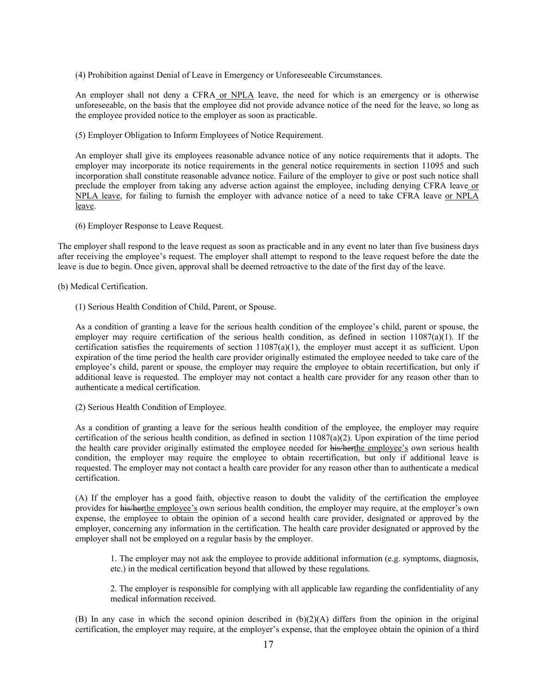(4) Prohibition against Denial of Leave in Emergency or Unforeseeable Circumstances.

An employer shall not deny a CFRA or NPLA leave, the need for which is an emergency or is otherwise unforeseeable, on the basis that the employee did not provide advance notice of the need for the leave, so long as the employee provided notice to the employer as soon as practicable.

(5) Employer Obligation to Inform Employees of Notice Requirement.

An employer shall give its employees reasonable advance notice of any notice requirements that it adopts. The employer may incorporate its notice requirements in the general notice requirements in section 11095 and such incorporation shall constitute reasonable advance notice. Failure of the employer to give or post such notice shall preclude the employer from taking any adverse action against the employee, including denying CFRA leave or NPLA leave, for failing to furnish the employer with advance notice of a need to take CFRA leave or NPLA leave.

(6) Employer Response to Leave Request.

The employer shall respond to the leave request as soon as practicable and in any event no later than five business days after receiving the employee's request. The employer shall attempt to respond to the leave request before the date the leave is due to begin. Once given, approval shall be deemed retroactive to the date of the first day of the leave.

(b) Medical Certification.

(1) Serious Health Condition of Child, Parent, or Spouse.

As a condition of granting a leave for the serious health condition of the employee's child, parent or spouse, the employer may require certification of the serious health condition, as defined in section 11087(a)(1). If the certification satisfies the requirements of section 11087(a)(1), the employer must accept it as sufficient. Upon expiration of the time period the health care provider originally estimated the employee needed to take care of the employee's child, parent or spouse, the employer may require the employee to obtain recertification, but only if additional leave is requested. The employer may not contact a health care provider for any reason other than to authenticate a medical certification.

(2) Serious Health Condition of Employee.

As a condition of granting a leave for the serious health condition of the employee, the employer may require certification of the serious health condition, as defined in section  $11087(a)(2)$ . Upon expiration of the time period the health care provider originally estimated the employee needed for his/herthe employee's own serious health condition, the employer may require the employee to obtain recertification, but only if additional leave is requested. The employer may not contact a health care provider for any reason other than to authenticate a medical certification.

(A) If the employer has a good faith, objective reason to doubt the validity of the certification the employee provides for his/herthe employee's own serious health condition, the employer may require, at the employer's own expense, the employee to obtain the opinion of a second health care provider, designated or approved by the employer, concerning any information in the certification. The health care provider designated or approved by the employer shall not be employed on a regular basis by the employer.

1. The employer may not ask the employee to provide additional information (e.g. symptoms, diagnosis, etc.) in the medical certification beyond that allowed by these regulations.

2. The employer is responsible for complying with all applicable law regarding the confidentiality of any medical information received.

(B) In any case in which the second opinion described in (b)(2)(A) differs from the opinion in the original certification, the employer may require, at the employer's expense, that the employee obtain the opinion of a third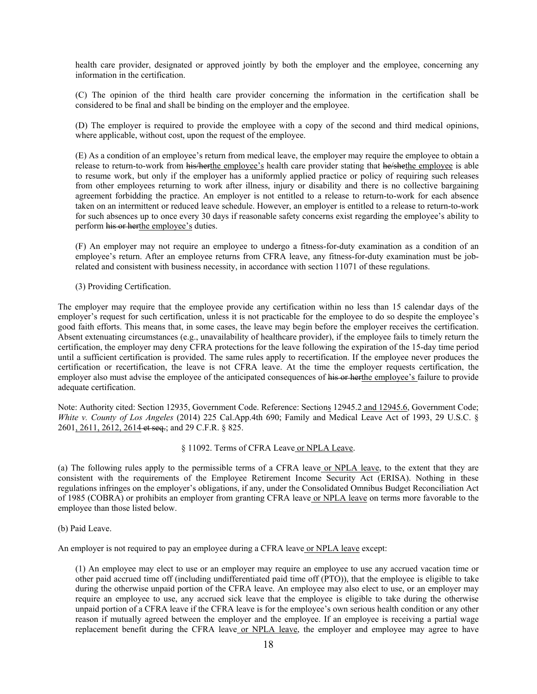health care provider, designated or approved jointly by both the employer and the employee, concerning any information in the certification.

(C) The opinion of the third health care provider concerning the information in the certification shall be considered to be final and shall be binding on the employer and the employee.

(D) The employer is required to provide the employee with a copy of the second and third medical opinions, where applicable, without cost, upon the request of the employee.

(E) As a condition of an employee's return from medical leave, the employer may require the employee to obtain a release to return-to-work from his/herthe employee's health care provider stating that he/shethe employee is able to resume work, but only if the employer has a uniformly applied practice or policy of requiring such releases from other employees returning to work after illness, injury or disability and there is no collective bargaining agreement forbidding the practice. An employer is not entitled to a release to return-to-work for each absence taken on an intermittent or reduced leave schedule. However, an employer is entitled to a release to return-to-work for such absences up to once every 30 days if reasonable safety concerns exist regarding the employee's ability to perform his or herthe employee's duties.

(F) An employer may not require an employee to undergo a fitness-for-duty examination as a condition of an employee's return. After an employee returns from CFRA leave, any fitness-for-duty examination must be jobrelated and consistent with business necessity, in accordance with section 11071 of these regulations.

(3) Providing Certification.

The employer may require that the employee provide any certification within no less than 15 calendar days of the employer's request for such certification, unless it is not practicable for the employee to do so despite the employee's good faith efforts. This means that, in some cases, the leave may begin before the employer receives the certification. Absent extenuating circumstances (e.g., unavailability of healthcare provider), if the employee fails to timely return the certification, the employer may deny CFRA protections for the leave following the expiration of the 15-day time period until a sufficient certification is provided. The same rules apply to recertification. If the employee never produces the certification or recertification, the leave is not CFRA leave. At the time the employer requests certification, the employer also must advise the employee of the anticipated consequences of his or herthe employee's failure to provide adequate certification.

Note: Authority cited: Section 12935, Government Code. Reference: Sections 12945.2 and 12945.6, Government Code; *White v. County of Los Angeles* (2014) 225 Cal.App.4th 690; Family and Medical Leave Act of 1993, 29 U.S.C. § 2601, 2611, 2612, 2614 et seq.; and 29 C.F.R. § 825.

§ 11092. Terms of CFRA Leave or NPLA Leave.

(a) The following rules apply to the permissible terms of a CFRA leave or NPLA leave, to the extent that they are consistent with the requirements of the Employee Retirement Income Security Act (ERISA). Nothing in these regulations infringes on the employer's obligations, if any, under the Consolidated Omnibus Budget Reconciliation Act of 1985 (COBRA) or prohibits an employer from granting CFRA leave or NPLA leave on terms more favorable to the employee than those listed below.

(b) Paid Leave.

An employer is not required to pay an employee during a CFRA leave or NPLA leave except:

(1) An employee may elect to use or an employer may require an employee to use any accrued vacation time or other paid accrued time off (including undifferentiated paid time off (PTO)), that the employee is eligible to take during the otherwise unpaid portion of the CFRA leave. An employee may also elect to use, or an employer may require an employee to use, any accrued sick leave that the employee is eligible to take during the otherwise unpaid portion of a CFRA leave if the CFRA leave is for the employee's own serious health condition or any other reason if mutually agreed between the employer and the employee. If an employee is receiving a partial wage replacement benefit during the CFRA leave or NPLA leave, the employer and employee may agree to have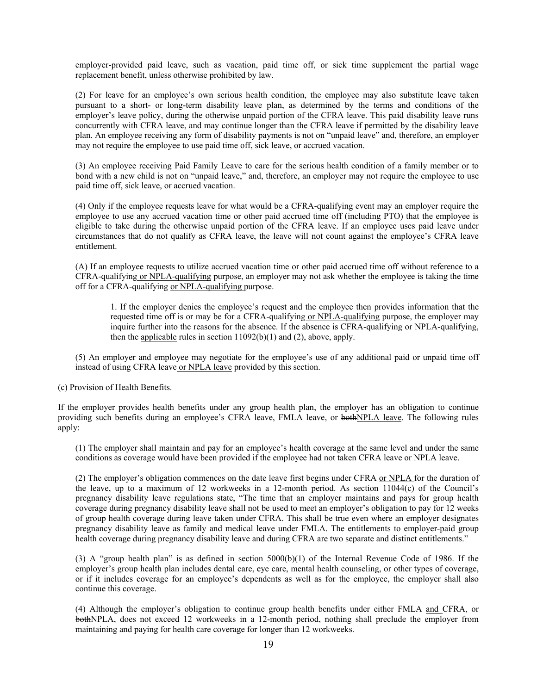employer-provided paid leave, such as vacation, paid time off, or sick time supplement the partial wage replacement benefit, unless otherwise prohibited by law.

(2) For leave for an employee's own serious health condition, the employee may also substitute leave taken pursuant to a short- or long-term disability leave plan, as determined by the terms and conditions of the employer's leave policy, during the otherwise unpaid portion of the CFRA leave. This paid disability leave runs concurrently with CFRA leave, and may continue longer than the CFRA leave if permitted by the disability leave plan. An employee receiving any form of disability payments is not on "unpaid leave" and, therefore, an employer may not require the employee to use paid time off, sick leave, or accrued vacation.

(3) An employee receiving Paid Family Leave to care for the serious health condition of a family member or to bond with a new child is not on "unpaid leave," and, therefore, an employer may not require the employee to use paid time off, sick leave, or accrued vacation.

(4) Only if the employee requests leave for what would be a CFRA-qualifying event may an employer require the employee to use any accrued vacation time or other paid accrued time off (including PTO) that the employee is eligible to take during the otherwise unpaid portion of the CFRA leave. If an employee uses paid leave under circumstances that do not qualify as CFRA leave, the leave will not count against the employee's CFRA leave entitlement.

(A) If an employee requests to utilize accrued vacation time or other paid accrued time off without reference to a CFRA-qualifying or NPLA-qualifying purpose, an employer may not ask whether the employee is taking the time off for a CFRA-qualifying or NPLA-qualifying purpose.

1. If the employer denies the employee's request and the employee then provides information that the requested time off is or may be for a CFRA-qualifying or NPLA-qualifying purpose, the employer may inquire further into the reasons for the absence. If the absence is CFRA-qualifying or NPLA-qualifying, then the applicable rules in section  $11092(b)(1)$  and (2), above, apply.

(5) An employer and employee may negotiate for the employee's use of any additional paid or unpaid time off instead of using CFRA leave or NPLA leave provided by this section.

(c) Provision of Health Benefits.

If the employer provides health benefits under any group health plan, the employer has an obligation to continue providing such benefits during an employee's CFRA leave, FMLA leave, or bothNPLA leave. The following rules apply:

(1) The employer shall maintain and pay for an employee's health coverage at the same level and under the same conditions as coverage would have been provided if the employee had not taken CFRA leave or NPLA leave.

(2) The employer's obligation commences on the date leave first begins under CFRA or NPLA for the duration of the leave, up to a maximum of 12 workweeks in a 12-month period. As section 11044(c) of the Council's pregnancy disability leave regulations state, "The time that an employer maintains and pays for group health coverage during pregnancy disability leave shall not be used to meet an employer's obligation to pay for 12 weeks of group health coverage during leave taken under CFRA. This shall be true even where an employer designates pregnancy disability leave as family and medical leave under FMLA. The entitlements to employer-paid group health coverage during pregnancy disability leave and during CFRA are two separate and distinct entitlements."

(3) A "group health plan" is as defined in section 5000(b)(1) of the Internal Revenue Code of 1986. If the employer's group health plan includes dental care, eye care, mental health counseling, or other types of coverage, or if it includes coverage for an employee's dependents as well as for the employee, the employer shall also continue this coverage.

(4) Although the employer's obligation to continue group health benefits under either FMLA and CFRA, or bothNPLA, does not exceed 12 workweeks in a 12-month period, nothing shall preclude the employer from maintaining and paying for health care coverage for longer than 12 workweeks.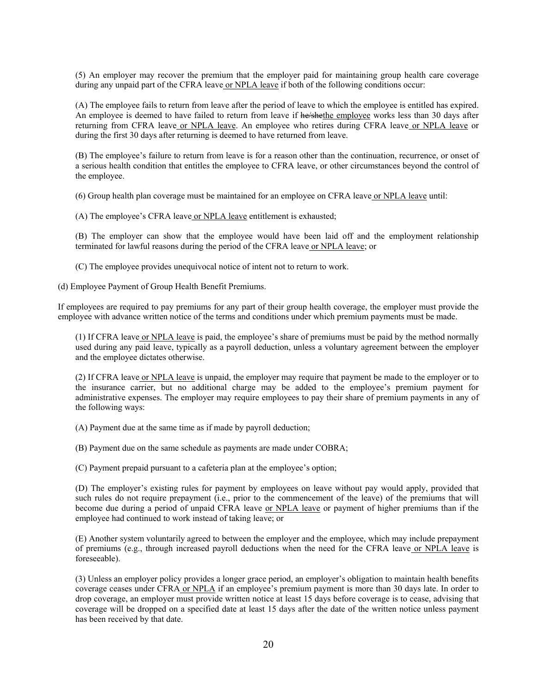(5) An employer may recover the premium that the employer paid for maintaining group health care coverage during any unpaid part of the CFRA leave or NPLA leave if both of the following conditions occur:

(A) The employee fails to return from leave after the period of leave to which the employee is entitled has expired. An employee is deemed to have failed to return from leave if he/shethe employee works less than 30 days after returning from CFRA leave or NPLA leave. An employee who retires during CFRA leave or NPLA leave or during the first 30 days after returning is deemed to have returned from leave.

(B) The employee's failure to return from leave is for a reason other than the continuation, recurrence, or onset of a serious health condition that entitles the employee to CFRA leave, or other circumstances beyond the control of the employee.

(6) Group health plan coverage must be maintained for an employee on CFRA leave or NPLA leave until:

(A) The employee's CFRA leave or NPLA leave entitlement is exhausted;

(B) The employer can show that the employee would have been laid off and the employment relationship terminated for lawful reasons during the period of the CFRA leave or NPLA leave; or

(C) The employee provides unequivocal notice of intent not to return to work.

(d) Employee Payment of Group Health Benefit Premiums.

If employees are required to pay premiums for any part of their group health coverage, the employer must provide the employee with advance written notice of the terms and conditions under which premium payments must be made.

(1) If CFRA leave or NPLA leave is paid, the employee's share of premiums must be paid by the method normally used during any paid leave, typically as a payroll deduction, unless a voluntary agreement between the employer and the employee dictates otherwise.

(2) If CFRA leave or NPLA leave is unpaid, the employer may require that payment be made to the employer or to the insurance carrier, but no additional charge may be added to the employee's premium payment for administrative expenses. The employer may require employees to pay their share of premium payments in any of the following ways:

(A) Payment due at the same time as if made by payroll deduction;

(B) Payment due on the same schedule as payments are made under COBRA;

(C) Payment prepaid pursuant to a cafeteria plan at the employee's option;

(D) The employer's existing rules for payment by employees on leave without pay would apply, provided that such rules do not require prepayment (i.e., prior to the commencement of the leave) of the premiums that will become due during a period of unpaid CFRA leave or NPLA leave or payment of higher premiums than if the employee had continued to work instead of taking leave; or

(E) Another system voluntarily agreed to between the employer and the employee, which may include prepayment of premiums (e.g., through increased payroll deductions when the need for the CFRA leave or NPLA leave is foreseeable).

(3) Unless an employer policy provides a longer grace period, an employer's obligation to maintain health benefits coverage ceases under CFRA or NPLA if an employee's premium payment is more than 30 days late. In order to drop coverage, an employer must provide written notice at least 15 days before coverage is to cease, advising that coverage will be dropped on a specified date at least 15 days after the date of the written notice unless payment has been received by that date.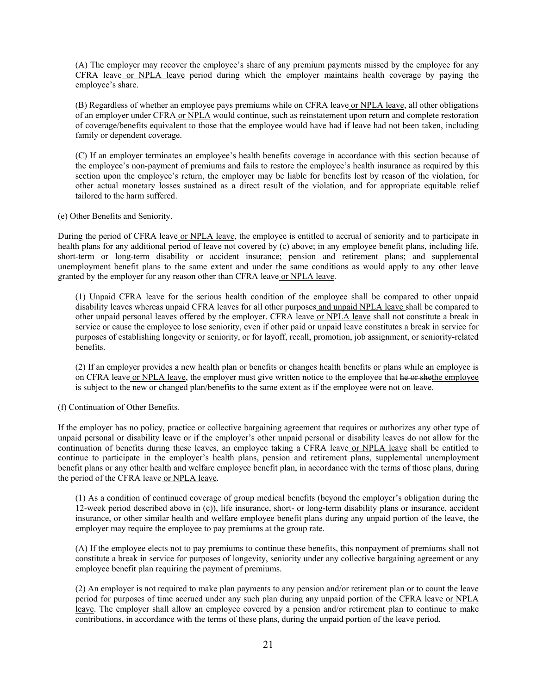(A) The employer may recover the employee's share of any premium payments missed by the employee for any CFRA leave or NPLA leave period during which the employer maintains health coverage by paying the employee's share.

(B) Regardless of whether an employee pays premiums while on CFRA leave or NPLA leave, all other obligations of an employer under CFRA or NPLA would continue, such as reinstatement upon return and complete restoration of coverage/benefits equivalent to those that the employee would have had if leave had not been taken, including family or dependent coverage.

(C) If an employer terminates an employee's health benefits coverage in accordance with this section because of the employee's non-payment of premiums and fails to restore the employee's health insurance as required by this section upon the employee's return, the employer may be liable for benefits lost by reason of the violation, for other actual monetary losses sustained as a direct result of the violation, and for appropriate equitable relief tailored to the harm suffered.

(e) Other Benefits and Seniority.

During the period of CFRA leave or NPLA leave, the employee is entitled to accrual of seniority and to participate in health plans for any additional period of leave not covered by (c) above; in any employee benefit plans, including life, short-term or long-term disability or accident insurance; pension and retirement plans; and supplemental unemployment benefit plans to the same extent and under the same conditions as would apply to any other leave granted by the employer for any reason other than CFRA leave or NPLA leave.

(1) Unpaid CFRA leave for the serious health condition of the employee shall be compared to other unpaid disability leaves whereas unpaid CFRA leaves for all other purposes and unpaid NPLA leave shall be compared to other unpaid personal leaves offered by the employer. CFRA leave or NPLA leave shall not constitute a break in service or cause the employee to lose seniority, even if other paid or unpaid leave constitutes a break in service for purposes of establishing longevity or seniority, or for layoff, recall, promotion, job assignment, or seniority-related benefits.

(2) If an employer provides a new health plan or benefits or changes health benefits or plans while an employee is on CFRA leave or NPLA leave, the employer must give written notice to the employee that he or shethe employee is subject to the new or changed plan/benefits to the same extent as if the employee were not on leave.

(f) Continuation of Other Benefits.

If the employer has no policy, practice or collective bargaining agreement that requires or authorizes any other type of unpaid personal or disability leave or if the employer's other unpaid personal or disability leaves do not allow for the continuation of benefits during these leaves, an employee taking a CFRA leave or NPLA leave shall be entitled to continue to participate in the employer's health plans, pension and retirement plans, supplemental unemployment benefit plans or any other health and welfare employee benefit plan, in accordance with the terms of those plans, during the period of the CFRA leave or NPLA leave.

(1) As a condition of continued coverage of group medical benefits (beyond the employer's obligation during the 12-week period described above in (c)), life insurance, short- or long-term disability plans or insurance, accident insurance, or other similar health and welfare employee benefit plans during any unpaid portion of the leave, the employer may require the employee to pay premiums at the group rate.

(A) If the employee elects not to pay premiums to continue these benefits, this nonpayment of premiums shall not constitute a break in service for purposes of longevity, seniority under any collective bargaining agreement or any employee benefit plan requiring the payment of premiums.

(2) An employer is not required to make plan payments to any pension and/or retirement plan or to count the leave period for purposes of time accrued under any such plan during any unpaid portion of the CFRA leave or NPLA leave. The employer shall allow an employee covered by a pension and/or retirement plan to continue to make contributions, in accordance with the terms of these plans, during the unpaid portion of the leave period.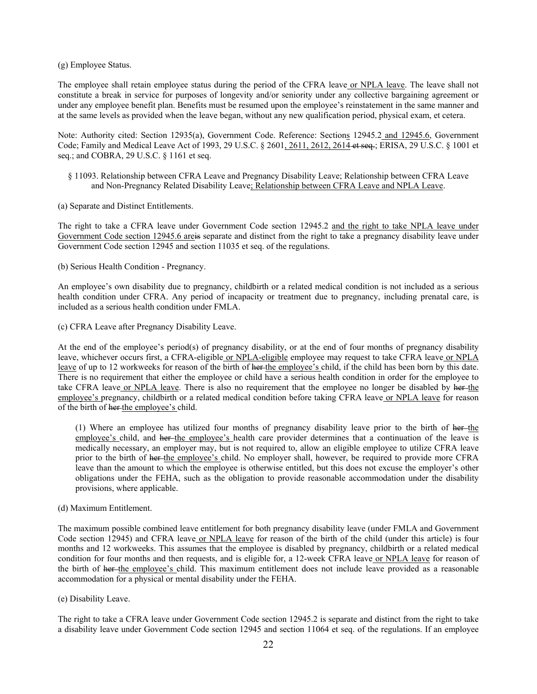(g) Employee Status.

The employee shall retain employee status during the period of the CFRA leave or NPLA leave. The leave shall not constitute a break in service for purposes of longevity and/or seniority under any collective bargaining agreement or under any employee benefit plan. Benefits must be resumed upon the employee's reinstatement in the same manner and at the same levels as provided when the leave began, without any new qualification period, physical exam, et cetera.

Note: Authority cited: Section 12935(a), Government Code. Reference: Sections 12945.2 and 12945.6, Government Code; Family and Medical Leave Act of 1993, 29 U.S.C. § 2601, 2611, 2612, 2614 et seq.; ERISA, 29 U.S.C. § 1001 et seq.; and COBRA, 29 U.S.C. § 1161 et seq.

- § 11093. Relationship between CFRA Leave and Pregnancy Disability Leave; Relationship between CFRA Leave and Non-Pregnancy Related Disability Leave; Relationship between CFRA Leave and NPLA Leave.
- (a) Separate and Distinct Entitlements.

The right to take a CFRA leave under Government Code section 12945.2 and the right to take NPLA leave under Government Code section 12945.6 areis separate and distinct from the right to take a pregnancy disability leave under Government Code section 12945 and section 11035 et seq. of the regulations.

(b) Serious Health Condition - Pregnancy.

An employee's own disability due to pregnancy, childbirth or a related medical condition is not included as a serious health condition under CFRA. Any period of incapacity or treatment due to pregnancy, including prenatal care, is included as a serious health condition under FMLA.

(c) CFRA Leave after Pregnancy Disability Leave.

At the end of the employee's period(s) of pregnancy disability, or at the end of four months of pregnancy disability leave, whichever occurs first, a CFRA-eligible or NPLA-eligible employee may request to take CFRA leave or NPLA leave of up to 12 workweeks for reason of the birth of her the employee's child, if the child has been born by this date. There is no requirement that either the employee or child have a serious health condition in order for the employee to take CFRA leave or NPLA leave. There is also no requirement that the employee no longer be disabled by her the employee's pregnancy, childbirth or a related medical condition before taking CFRA leave or NPLA leave for reason of the birth of her the employee's child.

(1) Where an employee has utilized four months of pregnancy disability leave prior to the birth of  $h$ er-the employee's child, and her the employee's health care provider determines that a continuation of the leave is medically necessary, an employer may, but is not required to, allow an eligible employee to utilize CFRA leave prior to the birth of her the employee's child. No employer shall, however, be required to provide more CFRA leave than the amount to which the employee is otherwise entitled, but this does not excuse the employer's other obligations under the FEHA, such as the obligation to provide reasonable accommodation under the disability provisions, where applicable.

(d) Maximum Entitlement.

The maximum possible combined leave entitlement for both pregnancy disability leave (under FMLA and Government Code section 12945) and CFRA leave or NPLA leave for reason of the birth of the child (under this article) is four months and 12 workweeks. This assumes that the employee is disabled by pregnancy, childbirth or a related medical condition for four months and then requests, and is eligible for, a 12-week CFRA leave or NPLA leave for reason of the birth of her the employee's child. This maximum entitlement does not include leave provided as a reasonable accommodation for a physical or mental disability under the FEHA.

(e) Disability Leave.

The right to take a CFRA leave under Government Code section 12945.2 is separate and distinct from the right to take a disability leave under Government Code section 12945 and section 11064 et seq. of the regulations. If an employee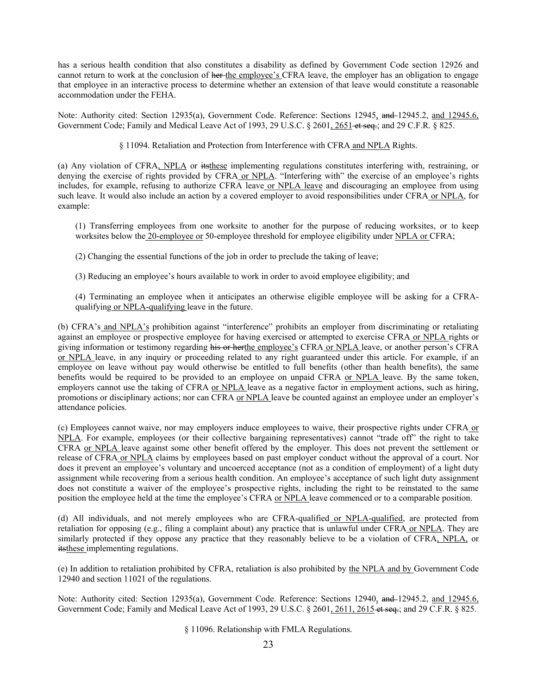has a serious health condition that also constitutes a disability as defined by Government Code section 12926 and cannot return to work at the conclusion of her the employee's CFRA leave, the employer has an obligation to engage that employee in an interactive process to determine whether an extension of that leave would constitute a reasonable accommodation under the FEHA.

Note: Authority cited: Section 12935(a), Government Code. Reference: Sections 12945, and 12945.2, and 12945.6, Government Code; Family and Medical Leave Act of 1993, 29 U.S.C. § 2601, 2651 et seq.; and 29 C.F.R. § 825.

§ 11094. Retaliation and Protection from Interference with CFRA and NPLA Rights.

(a) Any violation of CFRA, NPLA or itsthese implementing regulations constitutes interfering with, restraining, or denying the exercise of rights provided by CFRA or NPLA. "Interfering with" the exercise of an employee's rights includes, for example, refusing to authorize CFRA leave or NPLA leave and discouraging an employee from using such leave. It would also include an action by a covered employer to avoid responsibilities under CFRA or NPLA, for example:

(1) Transferring employees from one worksite to another for the purpose of reducing worksites, or to keep worksites below the 20-employee or 50-employee threshold for employee eligibility under NPLA or CFRA;

(2) Changing the essential functions of the job in order to preclude the taking of leave;

(3) Reducing an employee's hours available to work in order to avoid employee eligibility; and

(4) Terminating an employee when it anticipates an otherwise eligible employee will be asking for a CFRAqualifying or NPLA-qualifying leave in the future.

(b) CFRA's and NPLA's prohibition against "interference" prohibits an employer from discriminating or retaliating against an employee or prospective employee for having exercised or attempted to exercise CFRA or NPLA rights or giving information or testimony regarding his or herthe employee's CFRA or NPLA leave, or another person's CFRA or NPLA leave, in any inquiry or proceeding related to any right guaranteed under this article. For example, if an employee on leave without pay would otherwise be entitled to full benefits (other than health benefits), the same benefits would be required to be provided to an employee on unpaid CFRA or NPLA leave. By the same token, employers cannot use the taking of CFRA or NPLA leave as a negative factor in employment actions, such as hiring, promotions or disciplinary actions; nor can CFRA or NPLA leave be counted against an employee under an employer's attendance policies.

(c) Employees cannot waive, nor may employers induce employees to waive, their prospective rights under CFRA or NPLA. For example, employees (or their collective bargaining representatives) cannot "trade off" the right to take CFRA or NPLA leave against some other benefit offered by the employer. This does not prevent the settlement or release of CFRA or NPLA claims by employees based on past employer conduct without the approval of a court. Nor does it prevent an employee's voluntary and uncoerced acceptance (not as a condition of employment) of a light duty assignment while recovering from a serious health condition. An employee's acceptance of such light duty assignment does not constitute a waiver of the employee's prospective rights, including the right to be reinstated to the same position the employee held at the time the employee's CFRA or NPLA leave commenced or to a comparable position.

(d) All individuals, and not merely employees who are CFRA-qualified or NPLA-qualified, are protected from retaliation for opposing (e.g., filing a complaint about) any practice that is unlawful under CFRA or NPLA. They are similarly protected if they oppose any practice that they reasonably believe to be a violation of CFRA, NPLA, or its these implementing regulations.

(e) In addition to retaliation prohibited by CFRA, retaliation is also prohibited by the NPLA and by Government Code 12940 and section 11021 of the regulations.

Note: Authority cited: Section 12935(a), Government Code. Reference: Sections 12940, and 12945.2, and 12945.6, Government Code; Family and Medical Leave Act of 1993, 29 U.S.C. § 2601, 2611, 2615 et seq.; and 29 C.F.R. § 825.

§ 11096. Relationship with FMLA Regulations.